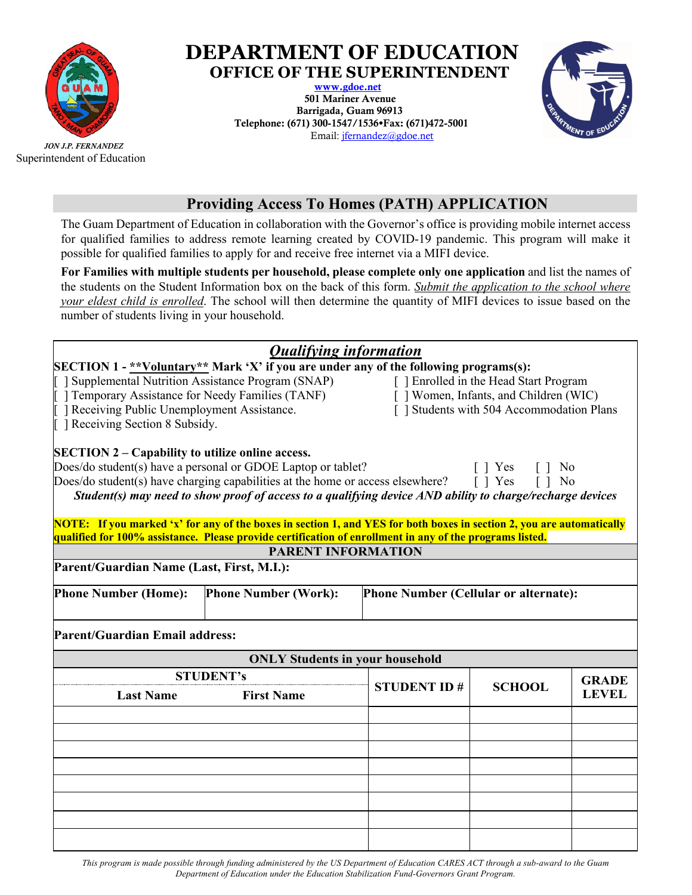

Superintendent of Education

## **DEPARTMENT OF EDUCATION**

**OFFICE OF THE SUPERINTENDENT**  501 Mariner Avenue Barrigada, Guam 96913 Telephone: (671) 300-1547/1536 \*Fax: (671) 472-5001 Email: jfernandez@gdoe.net



## **Providing Access To Homes (PATH) APPLICATION**

The Guam Department of Education in collaboration with the Governor's office is providing mobile internet access for qualified families to address remote learning created by COVID-19 pandemic. This program will make it possible for qualified families to apply for and receive free internet via a MIFI device.

**For Families with multiple students per household, please complete only one application** and list the names of the students on the Student Information box on the back of this form. *Submit the application to the school where your eldest child is enrolled*. The school will then determine the quantity of MIFI devices to issue based on the number of students living in your household.

| <b>Qualifying information</b>                                                                                                                                                                                                                                                                                                                                                                                                     |                                                                                        |                                                                                                                               |               |              |  |
|-----------------------------------------------------------------------------------------------------------------------------------------------------------------------------------------------------------------------------------------------------------------------------------------------------------------------------------------------------------------------------------------------------------------------------------|----------------------------------------------------------------------------------------|-------------------------------------------------------------------------------------------------------------------------------|---------------|--------------|--|
|                                                                                                                                                                                                                                                                                                                                                                                                                                   | SECTION 1 - ** Voluntary** Mark 'X' if you are under any of the following programs(s): |                                                                                                                               |               |              |  |
| Supplemental Nutrition Assistance Program (SNAP)<br>∏ ] Temporary Assistance for Needy Families (TANF)<br>  Receiving Public Unemployment Assistance.<br>  Receiving Section 8 Subsidy.                                                                                                                                                                                                                                           |                                                                                        | [ ] Enrolled in the Head Start Program<br>[ ] Women, Infants, and Children (WIC)<br>[ ] Students with 504 Accommodation Plans |               |              |  |
| <b>SECTION 2 – Capability to utilize online access.</b><br>Does/do student(s) have a personal or GDOE Laptop or tablet?<br>[ ] Yes<br>N <sub>0</sub><br>$\begin{bmatrix} 1 \end{bmatrix}$<br>Does/do student(s) have charging capabilities at the home or access elsewhere?<br>$[$ ] Yes<br>$\lceil \cdot \rceil$ No<br>Student(s) may need to show proof of access to a qualifying device AND ability to charge/recharge devices |                                                                                        |                                                                                                                               |               |              |  |
| NOTE: If you marked 'x' for any of the boxes in section 1, and YES for both boxes in section 2, you are automatically                                                                                                                                                                                                                                                                                                             |                                                                                        |                                                                                                                               |               |              |  |
| qualified for 100% assistance. Please provide certification of enrollment in any of the programs listed.                                                                                                                                                                                                                                                                                                                          |                                                                                        |                                                                                                                               |               |              |  |
| <b>PARENT INFORMATION</b>                                                                                                                                                                                                                                                                                                                                                                                                         |                                                                                        |                                                                                                                               |               |              |  |
| Parent/Guardian Name (Last, First, M.I.):                                                                                                                                                                                                                                                                                                                                                                                         |                                                                                        |                                                                                                                               |               |              |  |
| <b>Phone Number (Home):</b>                                                                                                                                                                                                                                                                                                                                                                                                       | <b>Phone Number (Work):</b>                                                            | Phone Number (Cellular or alternate):                                                                                         |               |              |  |
| Parent/Guardian Email address:                                                                                                                                                                                                                                                                                                                                                                                                    |                                                                                        |                                                                                                                               |               |              |  |
| <b>ONLY Students in your household</b>                                                                                                                                                                                                                                                                                                                                                                                            |                                                                                        |                                                                                                                               |               |              |  |
|                                                                                                                                                                                                                                                                                                                                                                                                                                   | <b>STUDENT's</b>                                                                       |                                                                                                                               |               | <b>GRADE</b> |  |
| <b>Last Name</b>                                                                                                                                                                                                                                                                                                                                                                                                                  | <b>First Name</b>                                                                      | <b>STUDENT ID#</b>                                                                                                            | <b>SCHOOL</b> | <b>LEVEL</b> |  |
|                                                                                                                                                                                                                                                                                                                                                                                                                                   |                                                                                        |                                                                                                                               |               |              |  |
|                                                                                                                                                                                                                                                                                                                                                                                                                                   |                                                                                        |                                                                                                                               |               |              |  |
|                                                                                                                                                                                                                                                                                                                                                                                                                                   |                                                                                        |                                                                                                                               |               |              |  |
|                                                                                                                                                                                                                                                                                                                                                                                                                                   |                                                                                        |                                                                                                                               |               |              |  |
|                                                                                                                                                                                                                                                                                                                                                                                                                                   |                                                                                        |                                                                                                                               |               |              |  |
|                                                                                                                                                                                                                                                                                                                                                                                                                                   |                                                                                        |                                                                                                                               |               |              |  |
|                                                                                                                                                                                                                                                                                                                                                                                                                                   |                                                                                        |                                                                                                                               |               |              |  |
|                                                                                                                                                                                                                                                                                                                                                                                                                                   |                                                                                        |                                                                                                                               |               |              |  |
|                                                                                                                                                                                                                                                                                                                                                                                                                                   |                                                                                        |                                                                                                                               |               |              |  |

*This program is made possible through funding administered by the US Department of Education CARES ACT through a sub-award to the Guam Department of Education under the Education Stabilization Fund-Governors Grant Program.*